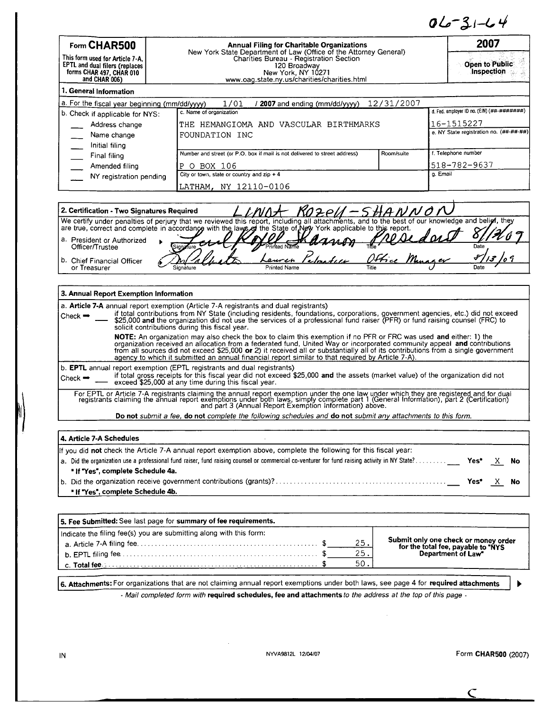$06 - 31 - 64$ 

| Form CHAR500                                                                                                                                                                                                                                                                                                         | <b>Annual Filing for Charitable Organizations</b>                          |            | 2007                                        |
|----------------------------------------------------------------------------------------------------------------------------------------------------------------------------------------------------------------------------------------------------------------------------------------------------------------------|----------------------------------------------------------------------------|------------|---------------------------------------------|
| New York State Department of Law (Office of the Attorney General)<br>Charities Bureau - Registration Section<br>This form used for Article 7-A,<br>EPTL and dual filers (replaces<br>120 Broadway<br>forms CHAR 497, CHAR 010<br>New York, NY 10271<br>and CHAR 006)<br>www.oag.state.ny.us/charities/charities.html |                                                                            |            | <b>Open to Public</b><br>Inspection         |
| 1. General Information                                                                                                                                                                                                                                                                                               |                                                                            |            |                                             |
| a. For the fiscal year beginning (mm/dd/yyyy)                                                                                                                                                                                                                                                                        | 1/01<br>/ 2007 and ending (mm/dd/yyyy)                                     | 12/31/2007 |                                             |
| b. Check if applicable for NYS:                                                                                                                                                                                                                                                                                      | c. Name of organization                                                    |            | d. Fed. employer ID no. (EIN) (##-########) |
| Address change                                                                                                                                                                                                                                                                                                       | THE HEMANGIOMA AND VASCULAR BIRTHMARKS                                     |            | 16-1515227                                  |
| Name change                                                                                                                                                                                                                                                                                                          | FOUNDATION INC                                                             |            | e. NY State registration no. (##-##-##)     |
| Initial filing                                                                                                                                                                                                                                                                                                       |                                                                            |            |                                             |
| Final filing                                                                                                                                                                                                                                                                                                         | Number and street (or P.O. box if mail is not delivered to street address) | Room/suite | f. Telephone number                         |
| Amended filing                                                                                                                                                                                                                                                                                                       | BOX 106<br>P<br>$\circ$                                                    |            | 1518-782-9637                               |
| NY registration pending                                                                                                                                                                                                                                                                                              | City or town, state or country and $zip + 4$                               |            | g. Email                                    |
|                                                                                                                                                                                                                                                                                                                      | LATHAM, NY 12110-0106                                                      |            |                                             |

| 2. Certification - Two Signatures Required |           |                                                                                                                                                  |                              |      |
|--------------------------------------------|-----------|--------------------------------------------------------------------------------------------------------------------------------------------------|------------------------------|------|
|                                            |           | We certify under penalties of perjury that we reviewed this report, including all attachments, and to the best of our knowledge and beligi, they |                              |      |
|                                            |           | are true, correct and complete in accordance with the laws of the State of Now York applicable to this report.                                   |                              |      |
| a. President or Authorized                 |           |                                                                                                                                                  |                              |      |
| Officer/Trustee                            | Sianzfure | Printed Name                                                                                                                                     |                              | Date |
| b. Chief Financial Officer                 |           | Leuren                                                                                                                                           | ) H $\epsilon$<br>Pau a a ev |      |
| or Treasurer                               |           | <b>Printed Name</b>                                                                                                                              | Title                        | Date |

# agency **to which it submitted an annual financial** report **similar to that** required by Article 7-A). **3. Annual Report. Exemption Information a. Article 7-A** annual report exemption (Article 7-A registrants and dual registrants) Check → if total contributions from NY State (including residents, foundations, corporations, government agencies, etc.) did not exceed<br>\$25,000 and the organization did not use the services of a professional fund raiser ( solicit contributions during this fiscal year. NOTE: An organization may also check the box to claim this exemption if no PFR or FRC was used and either: 1) the<br>organization received an allocation from a federated fund, United Way or incorporated community appeal and c b. EPTL annual report exemption (EPTL registrants and dual registrants) Check if total gross receipts for this fiscal year did not exceed \$25,000 **and the assets** (market value) of the organization did not agency to which it submitted an annual financial report<br>nual report exemption (EPTL registrants and dual regist<br>if total gross receipts for this fiscal year did not ex<br>exceed \$25,000 at any time during this fiscal year. For EPTL or Article 7-A registrants claiming the annual report exemption under the one law under which they are registered and for dua<br>registrants claiming the annual report exemptions under both laws, simply complete part

**Do not** submit a fee, **do not** complete the following schedules **and do not** submit any attachments to this form.

| 4. Article 7-A Schedules                                                                                         |  |  |
|------------------------------------------------------------------------------------------------------------------|--|--|
| If you did not check the Article 7-A annual report exemption above, complete the following for this fiscal year: |  |  |
|                                                                                                                  |  |  |
| * If "Yes", complete Schedule 4a.                                                                                |  |  |
|                                                                                                                  |  |  |
| * If "Yes", complete Schedule 4b.                                                                                |  |  |

| 5. Fee Submitted: See last page for summary of fee requirements.                                                                                                 |     |                                                                                                  |
|------------------------------------------------------------------------------------------------------------------------------------------------------------------|-----|--------------------------------------------------------------------------------------------------|
| Indicate the filing fee(s) you are submitting along with this form:                                                                                              |     |                                                                                                  |
|                                                                                                                                                                  | 25. | Submit only one check or money order<br>for the total fee, payable to "NYS<br>Department of Law" |
| <b>b.</b> EPTL filing fee $\ldots$ $\ldots$ $\ldots$ $\ldots$ $\ldots$ $\ldots$ $\ldots$ $\ldots$ $\ldots$ $\ldots$ $\ldots$ $\ldots$ $\ldots$ $\ddot{\text{s}}$ | 25. |                                                                                                  |
|                                                                                                                                                                  | 50. |                                                                                                  |
|                                                                                                                                                                  |     |                                                                                                  |

**6. <sup>A</sup>**tt**achments:** For organizations that are not claiming annual report exemptions under both laws, see page 4 for required **a**tt**achments**

Mail completed form **with required schedules, fee and attachments** to the address at the top of this page -

ь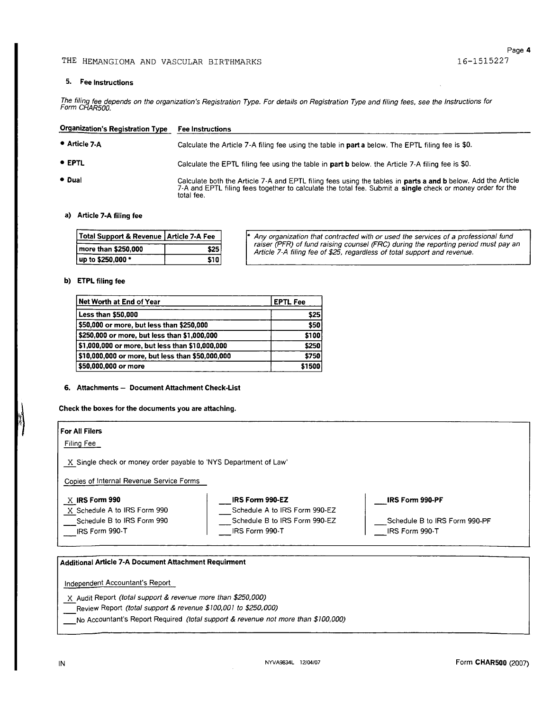## THE HEMANGIOMA AND VASCULAR BIRTHMARKS 16-1515227

#### 5. Fee Instructions

The filing fee depends on the organization's Registration Type. For details on Registration Type and filing fees, see the Instructions for<br>Form CHAR500.

| <b>Organization's Registration Type</b> | <b>Fee Instructions</b>                                                                                                                                                                                                                                |
|-----------------------------------------|--------------------------------------------------------------------------------------------------------------------------------------------------------------------------------------------------------------------------------------------------------|
| • Article 7-A                           | Calculate the Article 7-A filing fee using the table in <b>part a</b> below. The EPTL filing fee is \$0.                                                                                                                                               |
| • EPTL                                  | Calculate the EPTL filing fee using the table in part b below, the Article 7-A filing fee is \$0.                                                                                                                                                      |
| • Dual                                  | Calculate both the Article 7-A and EPTL filing fees using the tables in <b>parts a and b</b> below. Add the Article<br>7-A and EPTL filing fees together to calculate the total fee. Submit a <b>single</b> check or money order for the<br>total fee. |

#### a) Article 7-A filing fee

| Total Support & Revenue   Article 7-A Fee |       | <sup>*</sup> Any organization that contracted with or used the services of a professional fund                                                                 |
|-------------------------------------------|-------|----------------------------------------------------------------------------------------------------------------------------------------------------------------|
| more than \$250,000                       | \$25  | raiser (PFR) of fund raising counsel (FRC) during the reporting period must pay an<br>Article 7-A filing fee of \$25, regardless of total support and revenue. |
| up to \$250,000 *                         | S10 I |                                                                                                                                                                |

#### b) ETPL filing fee

| Net Worth at End of Year                         | <b>EPTL Fee</b> |
|--------------------------------------------------|-----------------|
| <b>Less than \$50,000</b>                        | \$25            |
| \$50,000 or more, but less than \$250,000        | \$50            |
| \$250,000 or more, but less than \$1,000,000     | \$100           |
| \$1,000,000 or more, but less than \$10,000,000  | \$250           |
| \$10,000,000 or more, but less than \$50,000,000 | \$750           |
| \$50,000,000 or more                             | \$1500          |

#### 6. Attachments - Document Attachment Check-List

Check the boxes for the documents you are attaching.

### **For** All **Filers** Filing Fee X Single check or money order payable to 'NYS Department of Law' Copies of Internal Revenue Service Forms **X IRS** Form **990** X Schedule A to IRS Form 990 Schedule B to IRS Form 990 IRS Form 990-T **\_IRSForm 990-EZ** Schedule A to IRS Form 990-EZ Schedule B to IRS Form 990-EZ IRS Form 990-T IRS Form 990-PF Schedule B to IRS Form 990-PF IRS Form 990-T

## Additional Article 7-A Document Attachment **Requirment**

Independent Accountant's Report

X Audit Report (total support & revenue more than \$250,000)

 $\overline{\phantom{a}}$  Review Report (total support & revenue \$100,001 to \$250,000)

No Accountant's Report Required (total support & revenue not more than \$100,000)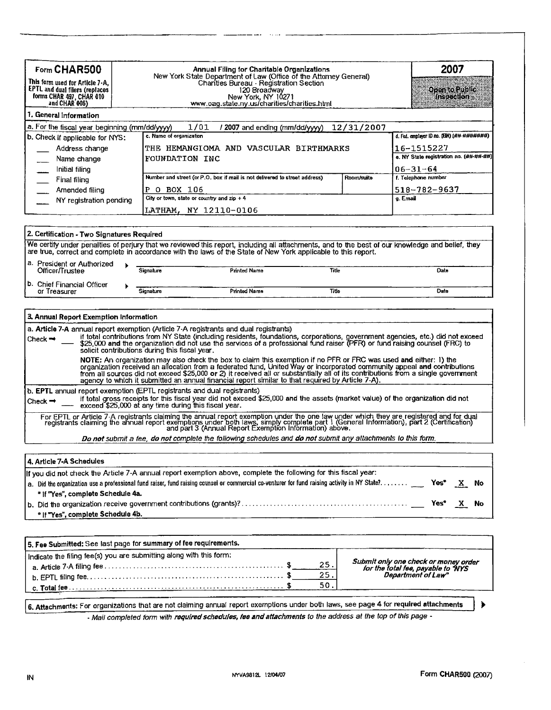| Form CHAR500<br>This form used for Article 7-A,<br>EPTL and dual filers (replaces<br>forms CHAR 497, CHAR 010<br>and CHAR 006) | <b>Annual Filing for Charitable Organizations</b><br>New York State Department of Law (Office of the Attorney General)<br>Charities Bureau - Registration Section<br>120 Broadway<br>New York, NY 10271<br>www.oag.state.ny.us/charities/charities.html |                                         | 2007<br>Openio Public<br><b>Inspection</b> |
|--------------------------------------------------------------------------------------------------------------------------------|---------------------------------------------------------------------------------------------------------------------------------------------------------------------------------------------------------------------------------------------------------|-----------------------------------------|--------------------------------------------|
| 1. General Information                                                                                                         |                                                                                                                                                                                                                                                         |                                         |                                            |
| a. For the fiscal year beginning (mm/dd/yyyy)                                                                                  | 1/01<br>/ 2007 and ending (mm/dd/yyyy) 12/31/2007                                                                                                                                                                                                       |                                         |                                            |
| b. Check if applicable for NYS:                                                                                                | c. Name of organization                                                                                                                                                                                                                                 |                                         | d. Fed. employer ID no. (EIN) (##-#######) |
| Address change                                                                                                                 | THE HEMANGIOMA AND VASCULAR BIRTHMARKS                                                                                                                                                                                                                  | 16-1515227                              |                                            |
| Name change                                                                                                                    | FOUNDATION INC                                                                                                                                                                                                                                          | e. NY State registration no. (##-##-##) |                                            |
| Initial filing                                                                                                                 |                                                                                                                                                                                                                                                         |                                         | $06 - 31 - 64$                             |
| Final filing                                                                                                                   | Number and street (or P.O. box if mail is not delivered to street address)                                                                                                                                                                              | Room/suite                              | f. Telephone number                        |
| Amended filing                                                                                                                 | BOX 106<br>P<br>$\Omega$                                                                                                                                                                                                                                |                                         | $518 - 782 - 9637$                         |
| NY registration pending                                                                                                        | City or town, state or country and $zip + 4$                                                                                                                                                                                                            | g. Email                                |                                            |
|                                                                                                                                | LATHAM, NY 12110-0106                                                                                                                                                                                                                                   |                                         |                                            |

| 2. Certification - Two Signatures Required |           |                                                                                                                                                                                                                                                                    |       |      |
|--------------------------------------------|-----------|--------------------------------------------------------------------------------------------------------------------------------------------------------------------------------------------------------------------------------------------------------------------|-------|------|
|                                            |           | We certify under penalties of perjury that we reviewed this report, including all attachments, and to the best of our knowledge and belief, they<br>are true, correct and complete in accordance with the laws of the State of New York applicable to this report. |       |      |
| 1a. President or Authorized                |           |                                                                                                                                                                                                                                                                    |       |      |
| Officer/Trustee                            | Signature | Printed Name                                                                                                                                                                                                                                                       | Title | Date |
| 1 <sup>b.</sup> Chief Financial Officer    |           |                                                                                                                                                                                                                                                                    |       |      |
| or Treasurer                               | Sianature | <b>Printed Name</b>                                                                                                                                                                                                                                                | Title | Date |

|                     | 3. Annual Report Exemption Information                                                                                                                                                                                                                                                                                                                                                                                                                                                  |  |  |  |  |  |
|---------------------|-----------------------------------------------------------------------------------------------------------------------------------------------------------------------------------------------------------------------------------------------------------------------------------------------------------------------------------------------------------------------------------------------------------------------------------------------------------------------------------------|--|--|--|--|--|
| Check $\rightarrow$ | a. Article 7-A annual report exemption (Article 7-A registrants and dual registrants)<br>if total contributions from NY State (including residents, foundations, corporations, government agencies, etc.) did not exceed<br>\$25,000 and the organization did not use the services of a professional fund raiser (PFR) or fund raising counsel (FRC) to<br>solicit contributions during this fiscal year.                                                                               |  |  |  |  |  |
|                     | NOTE: An organization may also check the box to claim this exemption if no PFR or FRC was used and either: 1) the<br>organization received an allocation from a federated fund. United Way or incorporated community appeal and contributions<br>from all sources did not exceed \$25,000 or 2) it received all or substantially all of its contributions from a single government<br>agency to which it submitted an annual financial report similar to that required by Article 7-A). |  |  |  |  |  |
| Check $\rightarrow$ | b. EPTL annual report exemption (EPTL registrants and dual registrants)<br>if total gross receipts for this fiscal year did not exceed \$25,000 and the assets (market value) of the organization did not<br>exceed \$25,000 at any time during this fiscal year.                                                                                                                                                                                                                       |  |  |  |  |  |
|                     | For EPTL or Article 7.A registrants claiming the annual report exemption under the one law under which they are registered and for dual<br>registrants claiming the annual report exemptions under both laws, simply complete par                                                                                                                                                                                                                                                       |  |  |  |  |  |
|                     | Do not submit a fee, do not complete the following schedules and do not submit any attachments to this form.                                                                                                                                                                                                                                                                                                                                                                            |  |  |  |  |  |

**4.** Article 7-A Schedules

| If you did not check the Article 7-A annual report exemption above, complete the following for this fiscal year: |                                                                                                                                                               |  |  |  |
|------------------------------------------------------------------------------------------------------------------|---------------------------------------------------------------------------------------------------------------------------------------------------------------|--|--|--|
|                                                                                                                  | a. Did the organization use a professional fund raiser, fund raising counsel or commercial co-venturer for fund raising activity in NY State? _____ Yes* X No |  |  |  |
|                                                                                                                  | * If "Yes", complete Schedule 4a.                                                                                                                             |  |  |  |
|                                                                                                                  |                                                                                                                                                               |  |  |  |
|                                                                                                                  | <sup>⊪</sup> If "Yes", complete Schedule 4b.                                                                                                                  |  |  |  |

| 5. Fee Submitted: See last page for summary of fee requirements.    |                   |                                                                                                  |
|---------------------------------------------------------------------|-------------------|--------------------------------------------------------------------------------------------------|
| Indicate the filing fee(s) you are submitting along with this form: | 25.<br>25.<br>50. | Submit only one check or money order<br>for the total fee, payable to "NYS<br>Department of Law" |

**6. Attachments:** For organizations that are not claiming annual report exemptions under both laws, see **page** 4 for **required attachments** ►

*- Mail completed form with requiredschedules, fee andattachments to the address* at *the top of this page -*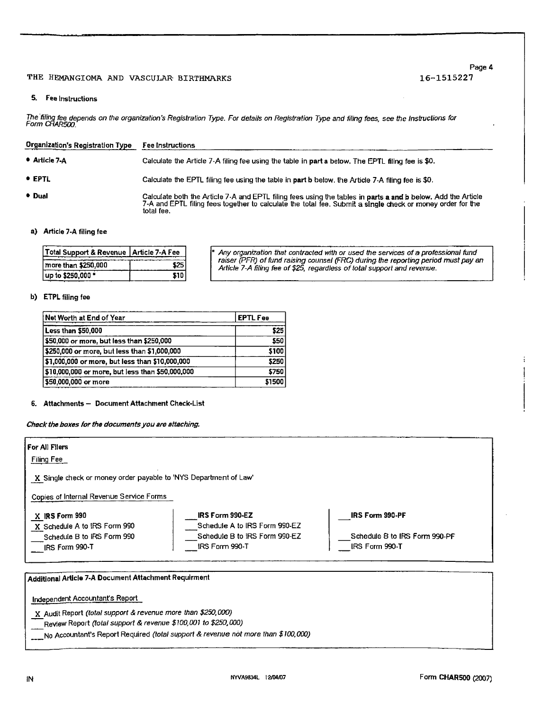## THE HEMANGIOMA AND VASCULAR BIRTHMARKS

## **Page 4** 16-1515227

## 5. Fee Instructions

The filing fee depends on the organization's Registration Type. For details on Registration Type and filing fees, see the Instructions for<br>Form CHAR500.

| <b>Organization's Registration Type</b> | <b>Fee Instructions</b>                                                                                                                                                                                                                  |
|-----------------------------------------|------------------------------------------------------------------------------------------------------------------------------------------------------------------------------------------------------------------------------------------|
| • Article 7-A                           | Calculate the Article 7-A filing fee using the table in part a below. The EPTL filing fee is \$0.                                                                                                                                        |
| • EPTL                                  | Calculate the EPTL filing fee using the table in part b below, the Article 7-A filing fee is \$0.                                                                                                                                        |
| • Dual                                  | Calculate both the Article 7-A and EPTL filing fees using the tables in parts a and b below. Add the Article<br>7-A and EPTL filing fees together to calculate the total fee. Submit a single check or money order for the<br>total fee. |

## a) Article 7-A filing fee

| Total Support & Revenue   Article 7-A Fee |
|-------------------------------------------|
| 25ء                                       |
| \$10                                      |
|                                           |

\* Any organization that contracted with or used the services of a professional fund<br>| raiser (PFR) of fund raising counsel (FRC) during the reporting period must pay an *Article 7-A filing fee of\$25, regardless oftotal support* and revenue.

### b) ETPL **filing fee**

| Net Worth at End of Year                         | <b>EPTL Fee</b> |
|--------------------------------------------------|-----------------|
| Less than \$50,000                               | \$25            |
| \$50,000 or more, but less than \$250,000        | <b>S50</b>      |
| \$250,000 or more, but less than \$1,000,000     | \$100           |
| \$1,000,000 or more, but less than \$10,000,000  | \$250           |
| \$10,000,000 or more, but less than \$50,000,000 | \$750           |
| 550,000,000 or more \$                           | \$1500          |

## **6. Attachments** - **Document Attachment** Check-List

*Check the boxes forthe documents youare attaching.*

| For All Filers<br>Filing Fee                                                                   |                                                                                                     |                                                                           |
|------------------------------------------------------------------------------------------------|-----------------------------------------------------------------------------------------------------|---------------------------------------------------------------------------|
| X Single check or money order payable to 'NYS Department of Law'                               |                                                                                                     |                                                                           |
| Copies of Internal Revenue Service Forms                                                       |                                                                                                     |                                                                           |
| X IRS Form 990<br>X Schedule A to IRS Form 990<br>Schedule B to IRS Form 990<br>IRS Form 990-T | IRS Form 990-EZ<br>Schedule A to IRS Form 990-EZ<br>Schedule B to IRS Form 990-EZ<br>IRS Form 990-T | <b>IRS Form 990-PF</b><br>Schedule B to IRS Form 990-PF<br>IRS Form 990-T |
| Additional Article 7-A Document Attachment Requirment                                          |                                                                                                     |                                                                           |
| Independent Accountant's Report                                                                |                                                                                                     |                                                                           |
| X Audit Report (total support & revenue more than \$250,000)                                   |                                                                                                     |                                                                           |

-Review Report *(total support & revenue \$100,001* to *\$25Q000)*

No Accountant's Report Required *(total support & revenue* not *more than \$100,000)*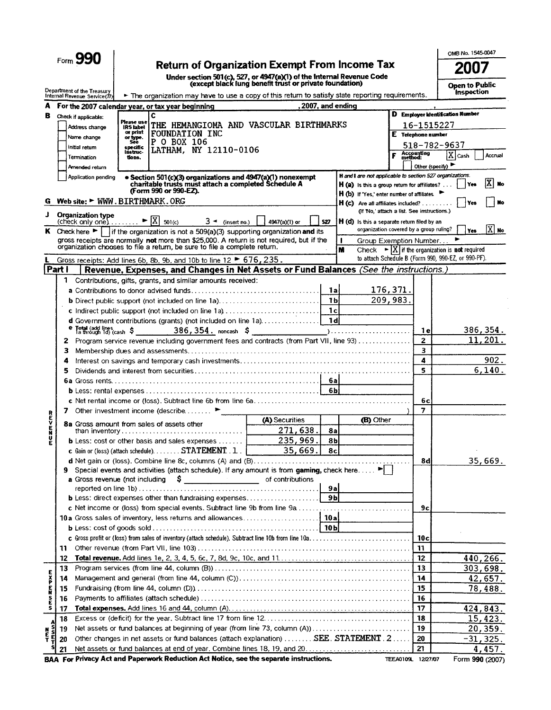|                       |          |                                                                                                                                                                                                            |                              |                                                                                                                                                                       |                    |                |                |                                                                                           |                                             | OMB No. 1545-0047                                                                                                                             |
|-----------------------|----------|------------------------------------------------------------------------------------------------------------------------------------------------------------------------------------------------------------|------------------------------|-----------------------------------------------------------------------------------------------------------------------------------------------------------------------|--------------------|----------------|----------------|-------------------------------------------------------------------------------------------|---------------------------------------------|-----------------------------------------------------------------------------------------------------------------------------------------------|
|                       |          | Form 990                                                                                                                                                                                                   |                              | <b>Return of Organization Exempt From Income Tax</b>                                                                                                                  |                    |                |                |                                                                                           |                                             | 2007                                                                                                                                          |
|                       |          |                                                                                                                                                                                                            |                              |                                                                                                                                                                       |                    |                |                |                                                                                           |                                             |                                                                                                                                               |
|                       |          | Under section 501(c), 527, or 4947(a)(1) of the Internal Revenue Code<br>(except black lung benefit trust or private foundation)<br>Department of the Treasury                                             |                              |                                                                                                                                                                       |                    |                |                |                                                                                           |                                             | Open to Public<br><b>Inspection</b>                                                                                                           |
|                       |          | The organization may have to use a copy of this return to satisfy state reporting requirements.<br>Internal Revenue Service(77)<br>, 2007, and ending<br>For the 2007 calendar year, or tax year beginning |                              |                                                                                                                                                                       |                    |                |                |                                                                                           |                                             |                                                                                                                                               |
| A                     |          |                                                                                                                                                                                                            |                              |                                                                                                                                                                       |                    |                |                |                                                                                           |                                             | D Employer Identification Number                                                                                                              |
| в                     |          | Check if applicable.                                                                                                                                                                                       | Piease use                   | c<br>THE HEMANGIOMA AND VASCULAR BIRTHMARKS                                                                                                                           |                    |                |                |                                                                                           | 16-1515227                                  |                                                                                                                                               |
|                       |          | Address change                                                                                                                                                                                             | <b>IRS</b> label<br>or print | FOUNDATION INC                                                                                                                                                        | E Telephone number |                |                |                                                                                           |                                             |                                                                                                                                               |
|                       |          | Name change<br>Initial return                                                                                                                                                                              | or type.<br>See<br>specific  | P 0 BOX 106                                                                                                                                                           |                    |                |                |                                                                                           |                                             | 518-782-9637                                                                                                                                  |
|                       |          | Termination                                                                                                                                                                                                | listruc-<br>tions.           | LATHAM, NY 12110-0106                                                                                                                                                 |                    |                |                |                                                                                           | F Accounting                                | $X$ Cash<br>Accrual                                                                                                                           |
|                       |          | Amended return                                                                                                                                                                                             |                              |                                                                                                                                                                       |                    |                |                |                                                                                           |                                             | Other (specify)                                                                                                                               |
|                       |          | Application pending                                                                                                                                                                                        |                              | • Section 501(c)(3) organizations and 4947(a)(1) nonexempt<br>charitable trusts must attach a completed Schedule A                                                    |                    |                |                | H and I are not applicable to section 527 organizations.                                  |                                             |                                                                                                                                               |
|                       |          |                                                                                                                                                                                                            |                              | (Form 990 or 990-EZ).                                                                                                                                                 |                    |                |                | <b>H</b> (a) is this a group return for affiliates? $\ldots$                              |                                             | ΙX<br><b>No</b><br>l Yes                                                                                                                      |
| G                     |          | Web site: $\blacktriangleright$ WWW. BIRTHMARK. ORG                                                                                                                                                        |                              |                                                                                                                                                                       |                    |                |                | $H(b)$ If 'Yes,' enter number of affiliates.<br><b>H</b> (c) Are all affiliates included? |                                             | <b>No</b><br>i Yes                                                                                                                            |
| J                     |          |                                                                                                                                                                                                            |                              |                                                                                                                                                                       |                    |                |                |                                                                                           | (If 'No,' attach a list. See instructions.) |                                                                                                                                               |
|                       |          | <b>Organization type</b><br>(check only one) $\ldots$ $\blacktriangleright \boxed{X}$ 501(c)                                                                                                               |                              |                                                                                                                                                                       | $3 -$ (insert no.) | 4947(a)(1) or  | 527            | $H(d)$ is this a separate return filed by an                                              |                                             |                                                                                                                                               |
|                       |          |                                                                                                                                                                                                            |                              | K Check here $\blacktriangleright$   if the organization is not a 509(a)(3) supporting organization and its                                                           |                    |                |                |                                                                                           | organization covered by a group ruling?     | $[\overline{X}]$ No<br>Yes                                                                                                                    |
|                       |          |                                                                                                                                                                                                            |                              | gross receipts are normally not more than \$25,000. A return is not required, but if the<br>organization chooses to file a return, be sure to file a complete return. |                    |                |                |                                                                                           | Group Exemption Number                      |                                                                                                                                               |
|                       |          |                                                                                                                                                                                                            |                              |                                                                                                                                                                       |                    |                |                | M                                                                                         |                                             | Check $\blacktriangleright$ $\vert X \vert$ if the organization is <b>not</b> required<br>to attach Schedule B (Form 990, 990-EZ, or 990-PF). |
|                       | Part i   |                                                                                                                                                                                                            |                              | Gross receipts: Add lines 6b, 8b, 9b, and 10b to line 12 > 676, 235.<br>Revenue, Expenses, and Changes in Net Assets or Fund Balances (See the instructions.)         |                    |                |                |                                                                                           |                                             |                                                                                                                                               |
|                       | 1        |                                                                                                                                                                                                            |                              | Contributions, gifts, grants, and similar amounts received:                                                                                                           |                    |                |                |                                                                                           |                                             |                                                                                                                                               |
|                       |          |                                                                                                                                                                                                            |                              |                                                                                                                                                                       |                    |                | 1al            |                                                                                           | 176,371.                                    |                                                                                                                                               |
|                       |          |                                                                                                                                                                                                            |                              | <b>b</b> Direct public support (not included on line 1a)                                                                                                              |                    |                | 1 <sub>b</sub> |                                                                                           | 209,983.                                    |                                                                                                                                               |
|                       |          |                                                                                                                                                                                                            |                              |                                                                                                                                                                       |                    |                | 1c             |                                                                                           |                                             |                                                                                                                                               |
|                       |          |                                                                                                                                                                                                            |                              | d Government contributions (grants) (not included on line 1a)                                                                                                         |                    |                | - 1 di         |                                                                                           |                                             |                                                                                                                                               |
|                       | е        |                                                                                                                                                                                                            |                              |                                                                                                                                                                       |                    |                |                |                                                                                           | 1 e l                                       | 386, 354.                                                                                                                                     |
|                       | z        |                                                                                                                                                                                                            |                              | Program service revenue including government fees and contracts (from Part VII, line 93)                                                                              |                    |                |                |                                                                                           | $\overline{2}$                              | 11,201.                                                                                                                                       |
|                       | з        |                                                                                                                                                                                                            |                              |                                                                                                                                                                       |                    |                |                |                                                                                           | $\overline{\mathbf{3}}$                     |                                                                                                                                               |
|                       | 4        |                                                                                                                                                                                                            |                              |                                                                                                                                                                       |                    |                |                |                                                                                           | 4                                           | 902.                                                                                                                                          |
|                       | 5        |                                                                                                                                                                                                            |                              |                                                                                                                                                                       |                    |                |                |                                                                                           | 5                                           | 6, 140.                                                                                                                                       |
|                       |          |                                                                                                                                                                                                            |                              |                                                                                                                                                                       |                    |                | 6al<br>-6Ы     |                                                                                           |                                             |                                                                                                                                               |
|                       |          |                                                                                                                                                                                                            |                              |                                                                                                                                                                       |                    |                |                |                                                                                           | 6c)                                         |                                                                                                                                               |
|                       | 7        |                                                                                                                                                                                                            |                              | Other investment income (describe $\ldots$ ,                                                                                                                          |                    |                |                |                                                                                           | $\overline{7}$                              |                                                                                                                                               |
| ヒハロオヒヘヒド              |          |                                                                                                                                                                                                            |                              |                                                                                                                                                                       |                    | (A) Securities |                | (B) Other                                                                                 |                                             |                                                                                                                                               |
|                       |          |                                                                                                                                                                                                            |                              | 8a Gross amount from sales of assets other                                                                                                                            |                    | 271,638        | 8a             |                                                                                           |                                             |                                                                                                                                               |
|                       |          |                                                                                                                                                                                                            |                              | <b>b</b> Less: cost or other basis and sales expenses $\dots \dots$                                                                                                   |                    | 235,969        | 8b             |                                                                                           |                                             |                                                                                                                                               |
|                       |          |                                                                                                                                                                                                            |                              | <b>c</b> Gain or (loss) (attach schedule). STATEMENT . 1 . $\vert$                                                                                                    |                    | 35,669.        | 8cl            |                                                                                           |                                             |                                                                                                                                               |
|                       |          |                                                                                                                                                                                                            |                              |                                                                                                                                                                       |                    |                |                |                                                                                           | 8d                                          | 35,669.                                                                                                                                       |
|                       | 9        |                                                                                                                                                                                                            |                              | Special events and activities (attach schedule). If any amount is from gaming, check here ▶                                                                           |                    |                |                |                                                                                           |                                             |                                                                                                                                               |
|                       |          |                                                                                                                                                                                                            |                              | <b>a</b> Gross revenue (not including $\begin{bmatrix} 9 \\ 2 \end{bmatrix}$ example 10 of contributions                                                              |                    |                | 9al            |                                                                                           |                                             |                                                                                                                                               |
|                       |          |                                                                                                                                                                                                            |                              | <b>b</b> Less: direct expenses other than fundraising expenses                                                                                                        |                    |                | 9bl            |                                                                                           |                                             |                                                                                                                                               |
|                       |          |                                                                                                                                                                                                            |                              | c Net income or (loss) from special events. Subtract line 9b from line 9a                                                                                             |                    |                |                |                                                                                           | 9с                                          |                                                                                                                                               |
|                       |          |                                                                                                                                                                                                            |                              |                                                                                                                                                                       |                    |                |                |                                                                                           |                                             |                                                                                                                                               |
|                       |          |                                                                                                                                                                                                            |                              |                                                                                                                                                                       |                    |                |                |                                                                                           |                                             |                                                                                                                                               |
|                       |          |                                                                                                                                                                                                            |                              | c Gross profit or (loss) from sales of inventory (attach schedule). Subtract line 10b from line 10a                                                                   |                    |                |                |                                                                                           | 10c                                         |                                                                                                                                               |
|                       | 11       |                                                                                                                                                                                                            |                              |                                                                                                                                                                       |                    |                |                |                                                                                           | 11                                          |                                                                                                                                               |
|                       | 12       |                                                                                                                                                                                                            |                              |                                                                                                                                                                       |                    |                |                |                                                                                           | 12                                          | 440,266.                                                                                                                                      |
|                       | 13       |                                                                                                                                                                                                            |                              |                                                                                                                                                                       |                    |                |                |                                                                                           | 13                                          | 303,698.                                                                                                                                      |
| <b>Exp</b>            | 14       |                                                                                                                                                                                                            |                              |                                                                                                                                                                       |                    |                |                |                                                                                           | 14                                          | 42,657.                                                                                                                                       |
| ř                     | 15       |                                                                                                                                                                                                            |                              |                                                                                                                                                                       |                    |                |                |                                                                                           | 15                                          | 78,488.                                                                                                                                       |
| S<br>E<br>S           | 16       |                                                                                                                                                                                                            |                              |                                                                                                                                                                       |                    |                |                |                                                                                           | 16                                          |                                                                                                                                               |
|                       | 17       |                                                                                                                                                                                                            |                              |                                                                                                                                                                       |                    |                |                |                                                                                           | 17<br>18                                    | 424,843.<br>15,423.                                                                                                                           |
|                       | 18<br>19 |                                                                                                                                                                                                            |                              | Net assets or fund balances at beginning of year (from line 73, column (A))                                                                                           |                    |                |                |                                                                                           | 19                                          | 20, 359.                                                                                                                                      |
| S<br>F<br>N<br>F<br>T | 20       |                                                                                                                                                                                                            |                              | Other changes in net assets or fund balances (attach explanation)  SEE. STATEMENT. 2                                                                                  |                    |                |                |                                                                                           | 20                                          | $-31,325.$                                                                                                                                    |
|                       | 21       |                                                                                                                                                                                                            |                              |                                                                                                                                                                       |                    |                |                |                                                                                           | 21                                          | 4,457.                                                                                                                                        |
|                       |          |                                                                                                                                                                                                            |                              | BAA For Privacy Act and Paperwork Reduction Act Notice, see the separate instructions.                                                                                |                    |                |                |                                                                                           | TEEA0109L 12/27/07                          | Form 990 (2007)                                                                                                                               |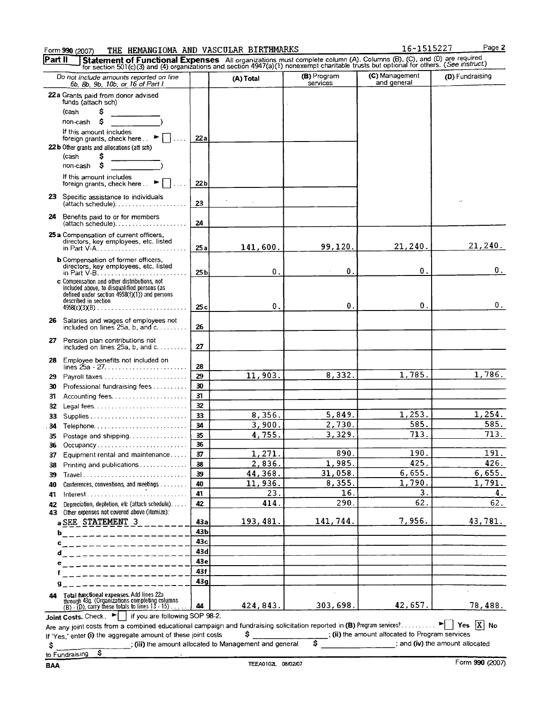# Form 990 (2007) THE HEMANGIOMA AND VASCULAR BIRTHMARKS 16-1515227 Page 2<br>Read U. List of Cunctional Expenses All executations must complete column (A) Columns (B) (C) and (D) are required

|            | Statement of Functional Expenses All organizations must complete column (A). Columns (B), (C), and (D) are required<br>for section 501(c)(3) and (4) organizations and section 4947(a)(1) nonexempt charitable trusts but optiona                                                                                                                                                                                                                                                     |                                                                            |                  |                         |                               |                 |
|------------|---------------------------------------------------------------------------------------------------------------------------------------------------------------------------------------------------------------------------------------------------------------------------------------------------------------------------------------------------------------------------------------------------------------------------------------------------------------------------------------|----------------------------------------------------------------------------|------------------|-------------------------|-------------------------------|-----------------|
|            | Do not include amounts reported on line<br>6b, 8b, 9b, 10b, or 16 of Part I.                                                                                                                                                                                                                                                                                                                                                                                                          |                                                                            | (A) Total        | (B) Program<br>services | (C) Management<br>and general | (D) Fundraising |
|            | 22a Grants paid from donor advised                                                                                                                                                                                                                                                                                                                                                                                                                                                    |                                                                            |                  |                         |                               |                 |
|            | funds (attach sch)                                                                                                                                                                                                                                                                                                                                                                                                                                                                    |                                                                            |                  |                         |                               |                 |
|            | Ŝ<br>(cash<br>\$                                                                                                                                                                                                                                                                                                                                                                                                                                                                      |                                                                            |                  |                         |                               |                 |
|            | non-cash<br>If this amount includes                                                                                                                                                                                                                                                                                                                                                                                                                                                   |                                                                            |                  |                         |                               |                 |
|            | foreign grants, check here ▶ □                                                                                                                                                                                                                                                                                                                                                                                                                                                        | 22a                                                                        |                  |                         |                               |                 |
|            | 22b Other grants and allocations (att sch)                                                                                                                                                                                                                                                                                                                                                                                                                                            |                                                                            |                  |                         |                               |                 |
|            | (cash<br>s                                                                                                                                                                                                                                                                                                                                                                                                                                                                            |                                                                            |                  |                         |                               |                 |
|            | s<br>non-cash                                                                                                                                                                                                                                                                                                                                                                                                                                                                         |                                                                            |                  |                         |                               |                 |
|            | If this amount includes<br>foreign grants, check here ▶                                                                                                                                                                                                                                                                                                                                                                                                                               | 22 <sub>b</sub>                                                            |                  |                         |                               |                 |
|            | 23 Specific assistance to individuals<br>$(attach schedule). \ldots \ldots \ldots \ldots$                                                                                                                                                                                                                                                                                                                                                                                             | 23                                                                         |                  |                         |                               |                 |
| 24         | Benefits paid to or for members<br>(attach schedule)                                                                                                                                                                                                                                                                                                                                                                                                                                  | 24                                                                         |                  |                         |                               |                 |
|            | 25 a Compensation of current officers,                                                                                                                                                                                                                                                                                                                                                                                                                                                |                                                                            |                  |                         |                               |                 |
|            | directors, key employees, etc. listed<br>in Part $V-A$ , $\ldots$ , $\ldots$ , $\ldots$ , $\ldots$ , $\ldots$ , $\ldots$ , $\ldots$                                                                                                                                                                                                                                                                                                                                                   | 25a                                                                        | 141,600.         | 99,120.                 | 21, 240.                      | 21,240.         |
|            | <b>b</b> Compensation of former officers,<br>directors, key employees, etc. listed                                                                                                                                                                                                                                                                                                                                                                                                    | 25 <sub>b</sub>                                                            | 0.               | $\mathbf{0}$ .          | 0.                            | 0.              |
|            | c Compensation and other distributions, not                                                                                                                                                                                                                                                                                                                                                                                                                                           |                                                                            |                  |                         |                               |                 |
|            | included above, to disqualified persons (as<br>defined under section 4958(f)(1)) and persons                                                                                                                                                                                                                                                                                                                                                                                          |                                                                            |                  |                         |                               |                 |
|            | described in section<br>$4958(c)(3)(B)$                                                                                                                                                                                                                                                                                                                                                                                                                                               | 25c                                                                        | 0.               | 0.                      | 0.                            | 0.              |
|            | 26 Salaries and wages of employees not                                                                                                                                                                                                                                                                                                                                                                                                                                                | 26                                                                         |                  |                         |                               |                 |
|            | included on lines $25a$ , b, and $c$ ,                                                                                                                                                                                                                                                                                                                                                                                                                                                |                                                                            |                  |                         |                               |                 |
| 27         | Pension plan contributions not<br>included on lines $25a$ , b, and c                                                                                                                                                                                                                                                                                                                                                                                                                  | 27                                                                         |                  |                         |                               |                 |
| 28         | Employee benefits not included on                                                                                                                                                                                                                                                                                                                                                                                                                                                     | 28                                                                         |                  |                         |                               |                 |
| 29         |                                                                                                                                                                                                                                                                                                                                                                                                                                                                                       | 29                                                                         | 11,903.          | 8,332.                  | 1,785.                        | 1,786.          |
| 30         | Professional fundraising fees                                                                                                                                                                                                                                                                                                                                                                                                                                                         | 30                                                                         |                  |                         |                               |                 |
| 31         |                                                                                                                                                                                                                                                                                                                                                                                                                                                                                       | 31                                                                         |                  |                         |                               |                 |
| 32         |                                                                                                                                                                                                                                                                                                                                                                                                                                                                                       | 32 <sub>2</sub>                                                            |                  |                         |                               |                 |
| 33         |                                                                                                                                                                                                                                                                                                                                                                                                                                                                                       | 33                                                                         | 8,356.           | 5,849.                  | 1,253.<br>585.                | 1,254.<br>585.  |
| 34         | Telephone                                                                                                                                                                                                                                                                                                                                                                                                                                                                             | 34<br>35                                                                   | 3,900.<br>4,755. | 2,730.<br>3,329.        | 713.                          | 713.            |
| 35         | Postage and shipping<br>Occupancy                                                                                                                                                                                                                                                                                                                                                                                                                                                     | 36                                                                         |                  |                         |                               |                 |
| 36<br>37 - | Equipment rental and maintenance                                                                                                                                                                                                                                                                                                                                                                                                                                                      | 37                                                                         | 1,271.           | 890.                    | 190.                          | 191.            |
| 38         | Printing and publications                                                                                                                                                                                                                                                                                                                                                                                                                                                             | 38                                                                         | 2,836.           | 1,985.                  | 425.                          | 426.            |
| 39         |                                                                                                                                                                                                                                                                                                                                                                                                                                                                                       | 39                                                                         | 44,368.          | 31,058.                 | 6,655.                        | 6,655.          |
| 40         | Conferences, conventions, and meetings                                                                                                                                                                                                                                                                                                                                                                                                                                                | 40                                                                         | 11,936.          | 8,355.                  | 1,790.                        | 1,791.          |
| 41         | $Interest \ldots \ldots$                                                                                                                                                                                                                                                                                                                                                                                                                                                              | 41                                                                         | 23.              | 16                      | 3.                            | 4.              |
| 42<br>43   | Depreciation, depletion, etc (attach schedule).<br>Other expenses not covered above (itemize):                                                                                                                                                                                                                                                                                                                                                                                        | 42                                                                         | 414              | 290.                    | 62.                           | 62.             |
|            | a SEE STATEMENT 3                                                                                                                                                                                                                                                                                                                                                                                                                                                                     | 43а                                                                        | 193, 481.        | 141,744.                | 7,956.                        | 43,781.         |
| b          | $      -$                                                                                                                                                                                                                                                                                                                                                                                                                                                                             | 43Ь                                                                        |                  |                         |                               |                 |
| c          | ___________                                                                                                                                                                                                                                                                                                                                                                                                                                                                           | 43c                                                                        |                  |                         |                               |                 |
| d          | $\begin{array}{ccccccccccccc} \multicolumn{2}{c}{} & \multicolumn{2}{c}{} & \multicolumn{2}{c}{} & \multicolumn{2}{c}{} & \multicolumn{2}{c}{} & \multicolumn{2}{c}{} & \multicolumn{2}{c}{} & \multicolumn{2}{c}{} & \multicolumn{2}{c}{} & \multicolumn{2}{c}{} & \multicolumn{2}{c}{} & \multicolumn{2}{c}{} & \multicolumn{2}{c}{} & \multicolumn{2}{c}{} & \multicolumn{2}{c}{} & \multicolumn{2}{c}{} & \multicolumn{2}{c}{} & \multicolumn{2}{c}{} & \multicolumn{2}{c}{} & \$ | 43d                                                                        |                  |                         |                               |                 |
|            |                                                                                                                                                                                                                                                                                                                                                                                                                                                                                       | 43e                                                                        |                  |                         |                               |                 |
|            |                                                                                                                                                                                                                                                                                                                                                                                                                                                                                       | 43f                                                                        |                  |                         |                               |                 |
| g          |                                                                                                                                                                                                                                                                                                                                                                                                                                                                                       | 43 <sub>g</sub>                                                            |                  |                         |                               |                 |
| 44         | Total functional expenses. Add lines 22a<br>through 43g. (Organizations completing columns<br>(B) - (D), carry these totals to lines 13 - 15)                                                                                                                                                                                                                                                                                                                                         | 44                                                                         | 424,843.         | 303,698.                | 42,657.                       | 78,488.         |
|            |                                                                                                                                                                                                                                                                                                                                                                                                                                                                                       | Joint Costs. Check. $\blacktriangleright$   if you are following SOP 98-2. |                  |                         |                               |                 |

If 'Yes,' enter (i) the aggregate amount of these joint costs  $\frac{1}{2}$ , (ii) the amount allocated to Program services  $\frac{1}{2}$ , and (iv) the amount allocated in Management and general  $\frac{1}{2}$ , and (iv) the amount alloc  $\begin{array}{c} \begin{array}{c} \begin{array}{c} \end{array} \\ \text{[iii]} \end{array}$  the amount allocated to Management and general  $\begin{array}{c} \text{[iv]} \end{array}$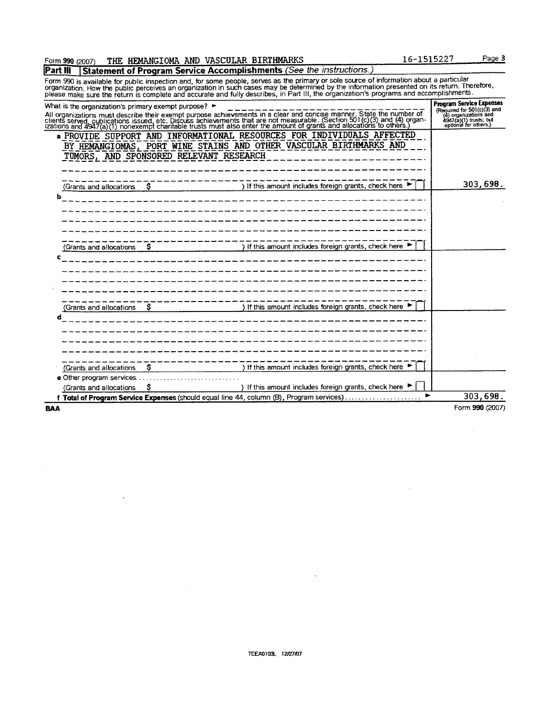$\sim$ 

 $\sim$ 

## Form 990 (2007) THE HEMANGIOMA AND VASCULAR BIRTHMARKS 16 16-1515227 Page 3

 $\overline{a}$ 

 $\mathcal{A}$ 

**Part III | Statement of Program Service Accomplishments (See the instructions.)** Form 990 is available for public inspection and, for some people, serves as the primary or sole source of information about a particular<br>organization. How the public perceives an organization in such cases may be determine

| <b>BAA</b>                                           |                                         |                                                                                                                                                                                                                                   | Form 990 (2007)                                                                                                                             |
|------------------------------------------------------|-----------------------------------------|-----------------------------------------------------------------------------------------------------------------------------------------------------------------------------------------------------------------------------------|---------------------------------------------------------------------------------------------------------------------------------------------|
|                                                      |                                         | f Total of Program Service Expenses (should equal line 44, column (B), Program services)                                                                                                                                          | 303,698.<br>$\blacktriangleright$                                                                                                           |
| (Grants and allocations                              | s                                       | ) If this amount includes foreign grants, check here ▶                                                                                                                                                                            |                                                                                                                                             |
|                                                      | e Other program services                |                                                                                                                                                                                                                                   |                                                                                                                                             |
| (Grants and allocations                              |                                         | ) If this amount includes foreign grants, check here ▶                                                                                                                                                                            |                                                                                                                                             |
| d                                                    |                                         | ______________________________                                                                                                                                                                                                    |                                                                                                                                             |
|                                                      |                                         | (Grants and allocations  \$     ) If this amount includes foreign grants, check here ►                                                                                                                                            |                                                                                                                                             |
|                                                      |                                         |                                                                                                                                                                                                                                   |                                                                                                                                             |
|                                                      |                                         | $(Grants and allocations$ $\frac{S}{I}$   If this amount includes foreign grants, check here $\blacktriangleright$                                                                                                                |                                                                                                                                             |
|                                                      |                                         | the company of the company of the company of the                                                                                                                                                                                  |                                                                                                                                             |
|                                                      |                                         | (Grants and allocations $\sim$ $\sim$ $\sim$ $\sim$ $\sim$ $\sim$ $\sim$ ) If this amount includes foreign grants, check here $\sim$                                                                                              | 303,698.                                                                                                                                    |
|                                                      | TUMORS, AND SPONSORED RELEVANT RESEARCH | a PROVIDE SUPPORT AND INFORMATIONAL RESOURCES FOR INDIVIDUALS AFFECTED<br>BY HEMANGIOMAS, PORT WINE STAINS AND OTHER VASCULAR BIRTHMARKS AND                                                                                      |                                                                                                                                             |
| What is the organization's primary exempt purpose? ► |                                         | All organizations must describe their exempt purpose achievements in a clear and concise manner. State the number of<br>clients served, publications issued, etc. Discuss achievements that are not measurable. (Section 501(c)(3 | <b>Program Service Expenses</b><br>Required for $501(c)(3)$ and<br>(4) organizations and<br>4947(a)(1) trusts; but<br>optional for others.) |
|                                                      |                                         | please make sure the return is complete and accurate and runy describes, in Fart in, the organization's programs and accomplish                                                                                                   |                                                                                                                                             |

 $\bar{z}$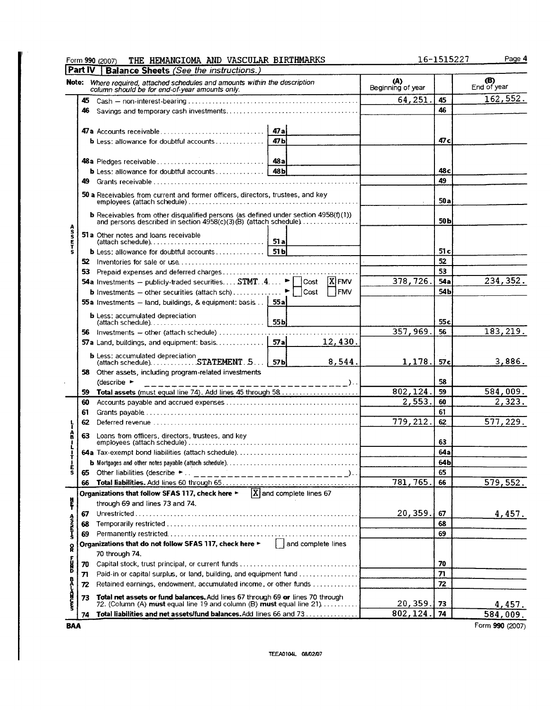|                            |         | THE HEMANGIOMA AND VASCULAR BIRTHMARKS<br>Form 990 (2007)                                                                                                        |                  |                           |             |                          | 16-1515227      | Page 4                    |
|----------------------------|---------|------------------------------------------------------------------------------------------------------------------------------------------------------------------|------------------|---------------------------|-------------|--------------------------|-----------------|---------------------------|
|                            | Part IV | <b>Balance Sheets (See the instructions.)</b>                                                                                                                    |                  |                           |             |                          |                 |                           |
|                            |         | Note: Where required, attached schedules and amounts within the description<br>column should be for end-of-year amounts only.                                    |                  |                           |             | (A)<br>Beginning of year |                 | <b>(B)</b><br>End of year |
|                            |         |                                                                                                                                                                  |                  |                           |             | 64,251                   | 45              | 162,552.                  |
|                            | 46      |                                                                                                                                                                  |                  |                           |             |                          | 46              |                           |
|                            |         |                                                                                                                                                                  |                  |                           |             |                          |                 |                           |
|                            |         |                                                                                                                                                                  |                  |                           |             |                          |                 |                           |
|                            |         | <b>b</b> Less: allowance for doubtful accounts                                                                                                                   | 47 <sub>b</sub>  |                           |             |                          | 47 c            |                           |
|                            |         |                                                                                                                                                                  |                  |                           |             |                          |                 |                           |
|                            |         |                                                                                                                                                                  |                  |                           |             |                          |                 |                           |
|                            |         |                                                                                                                                                                  |                  |                           |             |                          | 48 с            |                           |
|                            |         |                                                                                                                                                                  |                  |                           |             |                          | 49              |                           |
|                            |         | 50 a Receivables from current and former officers, directors, trustees, and key                                                                                  |                  |                           |             |                          | 50 a            |                           |
|                            |         | <b>b</b> Receivables from other disqualified persons (as defined under section $4958(f)(1)$ ) and persons described in section $4958(c)(3)(B)$ (attach schedule) |                  |                           |             |                          | 50 <sub>b</sub> |                           |
| A<br>S<br>S<br>E<br>T<br>S |         | 51 a Other notes and loans receivable                                                                                                                            |                  |                           |             |                          |                 |                           |
|                            |         | <b>b</b> Less: allowance for doubtful accounts  51b                                                                                                              |                  |                           |             |                          | 51 c            |                           |
|                            |         |                                                                                                                                                                  |                  |                           |             |                          | 52              |                           |
|                            |         |                                                                                                                                                                  |                  |                           |             |                          | 53              |                           |
|                            |         | <b>54a</b> Investments -- publicly-traded securities STMT. $4 \geq \Box \text{Cost} \quad [\overline{X}]$ FMV                                                    |                  |                           |             | 378,726.                 | 54a             | 234, 352.                 |
|                            |         |                                                                                                                                                                  |                  |                           | <b>TFMV</b> |                          | 54b             |                           |
|                            |         | 55a Investments - land, buildings, & equipment: basis                                                                                                            | 55a              |                           |             |                          |                 |                           |
|                            |         | <b>b</b> Less: accumulated depreciation                                                                                                                          |                  |                           |             |                          | 55 c            |                           |
|                            |         |                                                                                                                                                                  |                  |                           |             | 357,969.                 | 56              | 183,219.                  |
|                            |         | 57a Land, buildings, and equipment: basis                                                                                                                        | 57a              |                           | 12,430.     |                          |                 |                           |
|                            |         | <b>b</b> Less: accumulated depreciation<br>(attach schedule)STATEMENT. 5                                                                                         | 57 <sub>bl</sub> |                           | 8,544.      | 1,178.                   | 57 c            | 3,886.                    |
|                            |         | 58 Other assets, including program-related investments                                                                                                           |                  |                           |             |                          |                 |                           |
|                            |         | (describe $\blacktriangleright$                                                                                                                                  |                  | -------- <sup>-</sup> )   |             |                          | 58              |                           |
|                            | 59.     | Total assets (must equal line 74). Add lines 45 through 58                                                                                                       |                  |                           |             | 802,124                  | 59              | 584,009.                  |
|                            | 60      |                                                                                                                                                                  |                  |                           |             | 2,553.                   | 60              | 2,323.                    |
|                            | 61      |                                                                                                                                                                  |                  |                           |             |                          | 61              |                           |
|                            | 62      |                                                                                                                                                                  |                  |                           |             | 779, 212.                | 62              | 577,229.                  |
| ê                          | 63.     | Loans from officers, directors, trustees, and key                                                                                                                |                  |                           |             |                          | 63              |                           |
|                            |         |                                                                                                                                                                  |                  |                           |             |                          | 64a             |                           |
|                            |         |                                                                                                                                                                  |                  |                           |             |                          | 64 b            |                           |
| l<br>S                     |         | 65 Other liabilities (describe $\blacktriangleright$ .<br>________________________)                                                                              |                  |                           |             |                          | 65              |                           |
|                            | 66      |                                                                                                                                                                  |                  |                           |             | 781, 765.                | 66              | 579, 552.                 |
|                            |         | Organizations that follow SFAS 117, check here ►                                                                                                                 |                  | $X$ and complete lines 67 |             |                          |                 |                           |
| ļ                          |         | through 69 and lines 73 and 74.                                                                                                                                  |                  |                           |             |                          |                 |                           |
|                            | 67      |                                                                                                                                                                  |                  |                           |             | 20,359.                  | 67              | 4,457.                    |
| Asserva                    | 68      |                                                                                                                                                                  |                  |                           |             |                          | 68              |                           |
|                            | 69      | Organizations that do not follow SFAS 117, check here ►                                                                                                          |                  | $\int$ and complete lines |             |                          | 69              |                           |
| R                          |         | 70 through 74.                                                                                                                                                   |                  |                           |             |                          |                 |                           |
| i<br>B                     | 70      |                                                                                                                                                                  |                  |                           |             |                          | 70              |                           |
|                            | 71      | Paid-in or capital surplus, or land, building, and equipment fund                                                                                                |                  |                           |             |                          | 71              |                           |
|                            | 72      | Retained earnings, endowment, accumulated income, or other funds                                                                                                 |                  |                           |             |                          | 72              |                           |
|                            | 73      | Total net assets or fund balances. Add lines 67 through 69 or lines 70 through                                                                                   |                  |                           |             |                          |                 |                           |
| へいこく                       |         | 72. (Column (A) <b>must</b> equal line 19 and column (B) <b>must</b> equal line 21) $\ldots$                                                                     |                  |                           |             | 20,359.                  | 73              | 4,457.                    |
|                            | 74      | Total liabilities and net assets/fund balances. Add lines 66 and 73                                                                                              |                  |                           |             | 802,124                  | 74              | 584,009.                  |
| BAA                        |         |                                                                                                                                                                  |                  |                           |             |                          |                 | Form 990 (2007)           |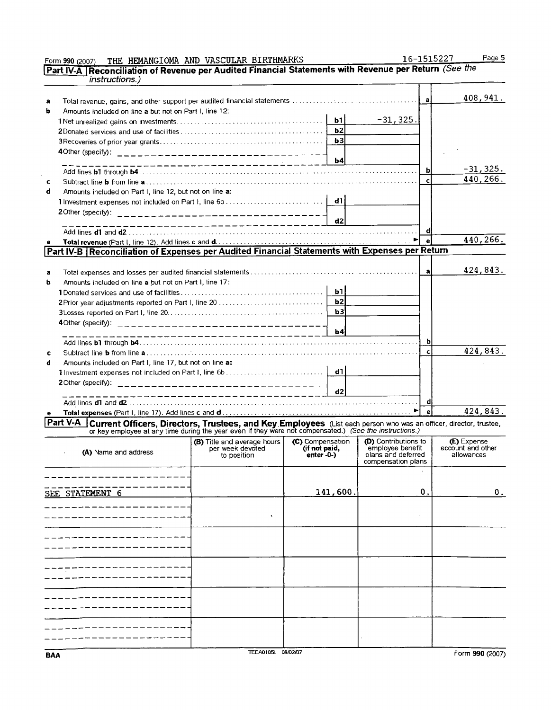|   | <i>instructions.)</i>                                                                                                                                                                                                               |                                  |                  |                                          |                          |                   |
|---|-------------------------------------------------------------------------------------------------------------------------------------------------------------------------------------------------------------------------------------|----------------------------------|------------------|------------------------------------------|--------------------------|-------------------|
|   |                                                                                                                                                                                                                                     |                                  |                  |                                          |                          |                   |
| a |                                                                                                                                                                                                                                     |                                  |                  |                                          | $\mathbf{a}$             | 408,941.          |
| ь | Amounts included on line a but not on Part I, line 12:                                                                                                                                                                              |                                  |                  |                                          |                          |                   |
|   |                                                                                                                                                                                                                                     |                                  | b1               | $-31, 325.$                              |                          |                   |
|   |                                                                                                                                                                                                                                     |                                  | b2               |                                          |                          |                   |
|   |                                                                                                                                                                                                                                     |                                  | b3               |                                          |                          |                   |
|   |                                                                                                                                                                                                                                     |                                  |                  |                                          |                          |                   |
|   |                                                                                                                                                                                                                                     | ____________________________     | b4               |                                          |                          |                   |
|   |                                                                                                                                                                                                                                     |                                  |                  |                                          | ь                        | $-31, 325.$       |
| c |                                                                                                                                                                                                                                     |                                  |                  |                                          | $\mathbf{c}$             | 440,266.          |
| d | Amounts included on Part I. line 12, but not on line a:                                                                                                                                                                             |                                  |                  |                                          |                          |                   |
|   |                                                                                                                                                                                                                                     |                                  | - d1 l           |                                          |                          |                   |
|   |                                                                                                                                                                                                                                     |                                  |                  |                                          |                          |                   |
|   |                                                                                                                                                                                                                                     | _______________________________  | d2               |                                          |                          |                   |
|   |                                                                                                                                                                                                                                     |                                  |                  |                                          | đ                        |                   |
|   |                                                                                                                                                                                                                                     |                                  |                  |                                          | $\mathbf{e}$             | 440,266.          |
|   | Part IV-B   Reconciliation of Expenses per Audited Financial Statements with Expenses per Return                                                                                                                                    |                                  |                  |                                          |                          |                   |
|   |                                                                                                                                                                                                                                     |                                  |                  |                                          |                          |                   |
| a |                                                                                                                                                                                                                                     |                                  |                  |                                          | $\mathbf{a}$             | 424,843.          |
| b | Amounts included on line a but not on Part I, line 17:                                                                                                                                                                              |                                  |                  |                                          |                          |                   |
|   |                                                                                                                                                                                                                                     |                                  | b1               |                                          |                          |                   |
|   | 2Prior year adjustments reported on Part I, line 20                                                                                                                                                                                 |                                  | b2               |                                          |                          |                   |
|   |                                                                                                                                                                                                                                     |                                  | b3               |                                          |                          |                   |
|   |                                                                                                                                                                                                                                     |                                  |                  |                                          |                          |                   |
|   |                                                                                                                                                                                                                                     | _____________________________    | $\mathbf{h}$     |                                          |                          |                   |
|   |                                                                                                                                                                                                                                     |                                  |                  |                                          | bl                       |                   |
| c |                                                                                                                                                                                                                                     |                                  |                  |                                          | $\mathbf{c}$             | 424,843.          |
| d | Amounts included on Part I, line 17, but not on line a:                                                                                                                                                                             |                                  |                  |                                          |                          |                   |
|   |                                                                                                                                                                                                                                     |                                  | -d1 l            |                                          |                          |                   |
|   | 2 Other (specify):                                                                                                                                                                                                                  | ________________________________ |                  |                                          |                          |                   |
|   |                                                                                                                                                                                                                                     | ----------------------------     | d2               |                                          |                          |                   |
|   |                                                                                                                                                                                                                                     |                                  |                  |                                          | di                       |                   |
|   |                                                                                                                                                                                                                                     |                                  |                  |                                          | $\overline{\phantom{a}}$ | 424,843.          |
|   | <b>Part V-A</b> Current Officers, Directors, Trustees, and Key Employees (List each person who was an officer, director, trustee, or key employee at any time during the year even if they were not compensated.) (See the instruct |                                  |                  |                                          |                          |                   |
|   |                                                                                                                                                                                                                                     | (B) Title and average hours      | (C) Compensation | (D) Contributions to                     |                          | (E) Expense       |
|   | (A) Name and address                                                                                                                                                                                                                | per week devoted                 | (if not paid,    | emplovee benefit                         |                          | account and other |
|   |                                                                                                                                                                                                                                     | to position                      | $enter -0-)$     | plans and deferred<br>compensation plans |                          | allowances        |
|   |                                                                                                                                                                                                                                     |                                  |                  |                                          |                          |                   |
|   |                                                                                                                                                                                                                                     |                                  |                  |                                          |                          |                   |
|   | SEE STATEMENT 6                                                                                                                                                                                                                     |                                  | 141,600.         |                                          | 0.                       | 0.                |
|   |                                                                                                                                                                                                                                     |                                  |                  |                                          |                          |                   |
|   |                                                                                                                                                                                                                                     |                                  |                  |                                          |                          |                   |
|   |                                                                                                                                                                                                                                     |                                  |                  |                                          |                          |                   |
|   |                                                                                                                                                                                                                                     |                                  |                  |                                          |                          |                   |
|   |                                                                                                                                                                                                                                     |                                  |                  |                                          |                          |                   |
|   |                                                                                                                                                                                                                                     |                                  |                  |                                          |                          |                   |
|   |                                                                                                                                                                                                                                     |                                  |                  |                                          |                          |                   |
|   |                                                                                                                                                                                                                                     |                                  |                  |                                          |                          |                   |
|   |                                                                                                                                                                                                                                     |                                  |                  |                                          |                          |                   |
|   |                                                                                                                                                                                                                                     |                                  |                  |                                          |                          |                   |
|   |                                                                                                                                                                                                                                     |                                  |                  |                                          |                          |                   |
|   |                                                                                                                                                                                                                                     |                                  |                  |                                          |                          |                   |
|   |                                                                                                                                                                                                                                     |                                  |                  |                                          |                          |                   |
|   |                                                                                                                                                                                                                                     |                                  |                  |                                          |                          |                   |
|   |                                                                                                                                                                                                                                     |                                  |                  |                                          |                          |                   |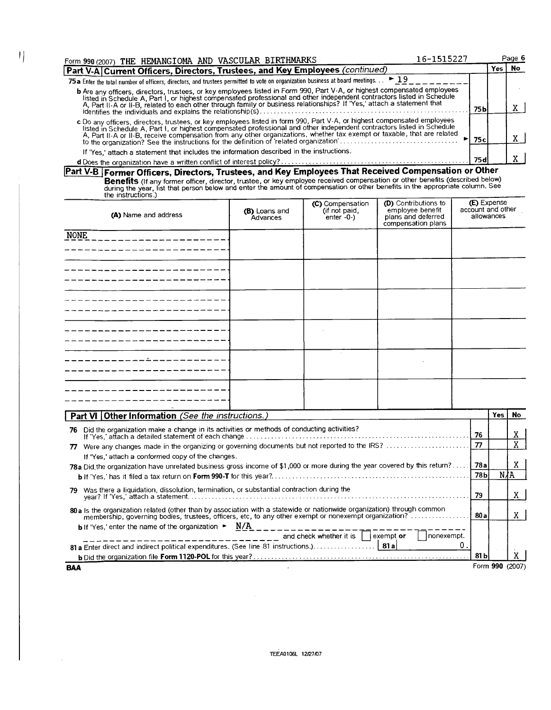| Form 990 (2007) THE HEMANGIOMA AND VASCULAR BIRTHMARKS                                                                                                                                                                                                                                                                                                                        | 16-1515227      |      | Page 6    |
|-------------------------------------------------------------------------------------------------------------------------------------------------------------------------------------------------------------------------------------------------------------------------------------------------------------------------------------------------------------------------------|-----------------|------|-----------|
| Part V-A Current Officers, Directors, Trustees, and Key Employees (continued)                                                                                                                                                                                                                                                                                                 |                 | ′es⊦ | <b>No</b> |
| 75 a Enter the total number of officers, directors, and trustees permitted to vote on organization business at board meetings. $.  \triangleright 19$                                                                                                                                                                                                                         |                 |      |           |
| b Are any officers, directors, trustees, or key employees listed in Form 990, Part V-A, or highest compensated employees<br>listed in Schedule A, Part I, or highest compensated professional and other independent contractors l<br>A, Part II-A or II-B, related to each other through family or business relationships? If 'Yes,' attach a statement that                  | 75 <sub>b</sub> |      |           |
| c Do any officers, directors, trustees, or key employees listed in form 990, Part V-A, or highest compensated employees<br>listed in Schedule A, Part I, or highest compensated professional and other independent contractors listed in Schedule<br>A, Part II-A or II-B, receive compensation from any other organizations, whether tax exempt or taxable, that are related | 75c             |      |           |
| If 'Yes,' attach a statement that includes the information described in the instructions.                                                                                                                                                                                                                                                                                     | 75 d            |      |           |

 $\left| \right|$ 

**Part V- Former Officers, Directors, Trustees, and Key Employees That Received Compensation <sup>o</sup> Benefits** (If any former officer, director, trustee, or key employee received compensation or other benefits (described below) during the year, list that person below and enter the amount of compensation or other benefits r Other

| (A) Name and address | (B) Loans and<br>Advances | (C) Compensation<br>(if not paid,<br>enter -0-) | <b>(D)</b> Contributions to<br>employee benefit<br>plans and deferred<br>compensation plans | <b>(E)</b> Expense<br>account and other<br>allowances |
|----------------------|---------------------------|-------------------------------------------------|---------------------------------------------------------------------------------------------|-------------------------------------------------------|
| <b>NONE</b>          |                           |                                                 |                                                                                             |                                                       |
|                      |                           |                                                 |                                                                                             |                                                       |
|                      |                           |                                                 |                                                                                             |                                                       |
|                      |                           |                                                 |                                                                                             |                                                       |
|                      |                           |                                                 |                                                                                             |                                                       |
|                      |                           |                                                 |                                                                                             |                                                       |

| Part VI Other Information (See the instructions.)                                                                                                                                                                                     |      | Yes l | No.             |  |  |  |  |
|---------------------------------------------------------------------------------------------------------------------------------------------------------------------------------------------------------------------------------------|------|-------|-----------------|--|--|--|--|
| 76 Did the organization make a change in its activities or methods of conducting activities?<br>-76                                                                                                                                   |      |       |                 |  |  |  |  |
| $\boldsymbol{\pi}$<br>Were any changes made in the organizing or governing documents but not reported to the IRS?                                                                                                                     |      |       |                 |  |  |  |  |
| If 'Yes,' attach a conformed copy of the changes.                                                                                                                                                                                     |      |       |                 |  |  |  |  |
| 78a Did the organization have unrelated business gross income of \$1,000 or more during the year covered by this return? [78a                                                                                                         |      |       |                 |  |  |  |  |
|                                                                                                                                                                                                                                       |      |       | NÆA             |  |  |  |  |
| Was there a liquidation, dissolution, termination, or substantial contraction during the<br>79.                                                                                                                                       | 79   |       | X.              |  |  |  |  |
| 80 a Is the organization related (other than by association with a statewide or nationwide organization) through common<br>membership, governing bodies, trustees, officers, etc, to any other exempt or nonexempt organization?" 80a |      |       |                 |  |  |  |  |
| <b>b</b> If 'Yes,' enter the name of the organization $\blacktriangleright$ N/A<br>and check whether it is  <br>  nonexempt.<br>exempt or                                                                                             |      |       |                 |  |  |  |  |
| 81 a Enter direct and indirect political expenditures. (See line 81 instructions.). 81 a                                                                                                                                              |      |       |                 |  |  |  |  |
|                                                                                                                                                                                                                                       | 81 b |       |                 |  |  |  |  |
| BAA                                                                                                                                                                                                                                   |      |       | Form 990 (2007) |  |  |  |  |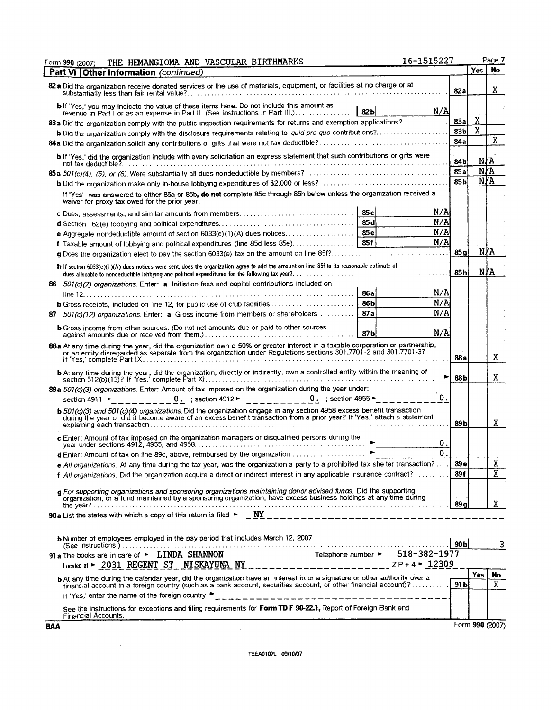| Form 990 (2007)<br>Part VI Other Information (continued)<br>82 a Did the organization receive donated services or the use of materials, equipment, or facilities at no charge or at<br>82a<br>b If 'Yes,' you may indicate the value of these items here. Do not include this amount as<br>N/A<br>82 <sub>b</sub><br>revenue in Part I or as an expense in Part II. (See instructions in Part III.)<br>Χ<br>83a<br>83a Did the organization comply with the public inspection requirements for returns and exemption applications?<br>$\mathbf X$<br>83 <sub>b</sub><br><b>b</b> Did the organization comply with the disclosure requirements relating to quid pro quo contributions?<br>84a<br>b If 'Yes,' did the organization include with every solicitation an express statement that such contributions or gifts were<br>N/A<br>84b<br>85a<br>85 <sub>b</sub><br>If 'Yes' was answered to either 85a or 85b, do not complete 85c through 85h below unless the organization received a<br>waiver for proxy tax owed for the prior year.<br>N/A<br>N/A<br>85 d<br>N/A | Yes   No<br>X.<br>X<br>Ñ∦A<br>Ñ∦A<br>N∤A<br>N∤A |
|---------------------------------------------------------------------------------------------------------------------------------------------------------------------------------------------------------------------------------------------------------------------------------------------------------------------------------------------------------------------------------------------------------------------------------------------------------------------------------------------------------------------------------------------------------------------------------------------------------------------------------------------------------------------------------------------------------------------------------------------------------------------------------------------------------------------------------------------------------------------------------------------------------------------------------------------------------------------------------------------------------------------------------------------------------------------------|-------------------------------------------------|
|                                                                                                                                                                                                                                                                                                                                                                                                                                                                                                                                                                                                                                                                                                                                                                                                                                                                                                                                                                                                                                                                           |                                                 |
|                                                                                                                                                                                                                                                                                                                                                                                                                                                                                                                                                                                                                                                                                                                                                                                                                                                                                                                                                                                                                                                                           |                                                 |
|                                                                                                                                                                                                                                                                                                                                                                                                                                                                                                                                                                                                                                                                                                                                                                                                                                                                                                                                                                                                                                                                           |                                                 |
|                                                                                                                                                                                                                                                                                                                                                                                                                                                                                                                                                                                                                                                                                                                                                                                                                                                                                                                                                                                                                                                                           |                                                 |
|                                                                                                                                                                                                                                                                                                                                                                                                                                                                                                                                                                                                                                                                                                                                                                                                                                                                                                                                                                                                                                                                           |                                                 |
|                                                                                                                                                                                                                                                                                                                                                                                                                                                                                                                                                                                                                                                                                                                                                                                                                                                                                                                                                                                                                                                                           |                                                 |
|                                                                                                                                                                                                                                                                                                                                                                                                                                                                                                                                                                                                                                                                                                                                                                                                                                                                                                                                                                                                                                                                           |                                                 |
|                                                                                                                                                                                                                                                                                                                                                                                                                                                                                                                                                                                                                                                                                                                                                                                                                                                                                                                                                                                                                                                                           |                                                 |
|                                                                                                                                                                                                                                                                                                                                                                                                                                                                                                                                                                                                                                                                                                                                                                                                                                                                                                                                                                                                                                                                           |                                                 |
|                                                                                                                                                                                                                                                                                                                                                                                                                                                                                                                                                                                                                                                                                                                                                                                                                                                                                                                                                                                                                                                                           |                                                 |
|                                                                                                                                                                                                                                                                                                                                                                                                                                                                                                                                                                                                                                                                                                                                                                                                                                                                                                                                                                                                                                                                           |                                                 |
|                                                                                                                                                                                                                                                                                                                                                                                                                                                                                                                                                                                                                                                                                                                                                                                                                                                                                                                                                                                                                                                                           |                                                 |
|                                                                                                                                                                                                                                                                                                                                                                                                                                                                                                                                                                                                                                                                                                                                                                                                                                                                                                                                                                                                                                                                           |                                                 |
| N/A<br>f Taxable amount of lobbying and political expenditures (line 85d less 85e) 85f<br>85 al                                                                                                                                                                                                                                                                                                                                                                                                                                                                                                                                                                                                                                                                                                                                                                                                                                                                                                                                                                           |                                                 |
| g Does the organization elect to pay the section 6033(e) tax on the amount on line 85f?                                                                                                                                                                                                                                                                                                                                                                                                                                                                                                                                                                                                                                                                                                                                                                                                                                                                                                                                                                                   |                                                 |
| h If section 6033(e)(1)(A) dues notices were sent, does the organization agree to add the amount on line 85f to its reasonable estimate of<br>85h                                                                                                                                                                                                                                                                                                                                                                                                                                                                                                                                                                                                                                                                                                                                                                                                                                                                                                                         |                                                 |
| 86 501(c)(7) organizations. Enter: a Initiation fees and capital contributions included on                                                                                                                                                                                                                                                                                                                                                                                                                                                                                                                                                                                                                                                                                                                                                                                                                                                                                                                                                                                |                                                 |
| N/A<br>86a<br>N/A<br>86 bl                                                                                                                                                                                                                                                                                                                                                                                                                                                                                                                                                                                                                                                                                                                                                                                                                                                                                                                                                                                                                                                |                                                 |
| N/A<br>87a<br>501(c)(12) organizations. Enter: a Gross income from members or shareholders                                                                                                                                                                                                                                                                                                                                                                                                                                                                                                                                                                                                                                                                                                                                                                                                                                                                                                                                                                                |                                                 |
| 87                                                                                                                                                                                                                                                                                                                                                                                                                                                                                                                                                                                                                                                                                                                                                                                                                                                                                                                                                                                                                                                                        |                                                 |
| <b>b</b> Gross income from other sources. (Do not net amounts due or paid to other sources<br>N/A<br>87 <sub>b</sub>                                                                                                                                                                                                                                                                                                                                                                                                                                                                                                                                                                                                                                                                                                                                                                                                                                                                                                                                                      |                                                 |
| 88 a At any time during the year, did the organization own a 50% or greater interest in a taxable corporation or partnership,<br>or an entity disregarded as separate from the organization under Regulations sections 301.7701-2<br>88 a                                                                                                                                                                                                                                                                                                                                                                                                                                                                                                                                                                                                                                                                                                                                                                                                                                 | X                                               |
| <b>b</b> At any time during the year, did the organization, directly or indirectly, own a controlled entity within the meaning of<br>►<br>88b                                                                                                                                                                                                                                                                                                                                                                                                                                                                                                                                                                                                                                                                                                                                                                                                                                                                                                                             | X                                               |
| 89a 501(c)(3) organizations. Enter: Amount of tax imposed on the organization during the year under:<br>$\mathbf{0}$ .<br>0. ; section 4912 ► $\qquad$ _ _ _ _ _ _ _ _ _ 0. ; section 4955 ►<br>section $4911 -$                                                                                                                                                                                                                                                                                                                                                                                                                                                                                                                                                                                                                                                                                                                                                                                                                                                          |                                                 |
| <b>b</b> 501(c)(3) and 501(c)(4) organizations. Did the organization engage in any section 4958 excess benefit transaction<br>during the year or did it become aware of an excess benefit transaction from a prior year? If 'Yes,' att<br>89 <sub>b</sub>                                                                                                                                                                                                                                                                                                                                                                                                                                                                                                                                                                                                                                                                                                                                                                                                                 | X.                                              |
| 0.                                                                                                                                                                                                                                                                                                                                                                                                                                                                                                                                                                                                                                                                                                                                                                                                                                                                                                                                                                                                                                                                        |                                                 |
| $\mathbf{0}$<br>d Enter: Amount of tax on line 89c, above, reimbursed by the organization                                                                                                                                                                                                                                                                                                                                                                                                                                                                                                                                                                                                                                                                                                                                                                                                                                                                                                                                                                                 |                                                 |
| e All organizations. At any time during the tax year, was the organization a party to a prohibited tax shelter transaction?<br>89e                                                                                                                                                                                                                                                                                                                                                                                                                                                                                                                                                                                                                                                                                                                                                                                                                                                                                                                                        | Χ                                               |
| 89 f<br>f All organizations. Did the organization acquire a direct or indirect interest in any applicable insurance contract?                                                                                                                                                                                                                                                                                                                                                                                                                                                                                                                                                                                                                                                                                                                                                                                                                                                                                                                                             | X                                               |
| g For supporting organizations and sponsoring organizations maintaining donor advised funds. Did the supporting<br>organization, or a fund maintained by a sponsoring organization, have excess business holdings at any time dur                                                                                                                                                                                                                                                                                                                                                                                                                                                                                                                                                                                                                                                                                                                                                                                                                                         | X                                               |
| 90 a List the states with which a copy of this return is filed $\triangleright$ $\underline{WY}_{\underbrace{-1} \underbrace{-1} \underbrace{-1} \underbrace{-1} \underbrace{-1} \underbrace{-1} \underbrace{-1} \underbrace{-1} \underbrace{-1} \underbrace{-1} \underbrace{-1} \underbrace{-1} \underbrace{-1} \underbrace{-1} \underbrace{-1} \underbrace{-1} \underbrace{-1} \underbrace{-1} \underbrace{-1} \underbrace{-1} \underbrace{-1} \underbrace{-1} \underbrace{-1} \underbrace{-1$                                                                                                                                                                                                                                                                                                                                                                                                                                                                                                                                                                          |                                                 |
| b Number of employees employed in the pay period that includes March 12, 2007                                                                                                                                                                                                                                                                                                                                                                                                                                                                                                                                                                                                                                                                                                                                                                                                                                                                                                                                                                                             | 3                                               |
| 91 a The books are in care of $\blacktriangleright$ LINDA SHANNON                                                                                                                                                                                                                                                                                                                                                                                                                                                                                                                                                                                                                                                                                                                                                                                                                                                                                                                                                                                                         |                                                 |
|                                                                                                                                                                                                                                                                                                                                                                                                                                                                                                                                                                                                                                                                                                                                                                                                                                                                                                                                                                                                                                                                           |                                                 |
| <b>Yes</b><br>b At any time during the calendar year, did the organization have an interest in or a signature or other authority over a<br>financial account in a foreign country (such as a bank account, securities account, or other financial account)?<br>91 bl                                                                                                                                                                                                                                                                                                                                                                                                                                                                                                                                                                                                                                                                                                                                                                                                      | No<br>X                                         |
|                                                                                                                                                                                                                                                                                                                                                                                                                                                                                                                                                                                                                                                                                                                                                                                                                                                                                                                                                                                                                                                                           |                                                 |
| See the instructions for exceptions and filing requirements for Form TD F 90-22.1, Report of Foreign Bank and<br><b>Financial Accounts.</b>                                                                                                                                                                                                                                                                                                                                                                                                                                                                                                                                                                                                                                                                                                                                                                                                                                                                                                                               |                                                 |

Form **990 (2007)**

 $\label{eq:2.1} \frac{1}{\sqrt{2}}\sum_{i=1}^n\frac{1}{\sqrt{2}}\sum_{i=1}^n\frac{1}{\sqrt{2}}\sum_{i=1}^n\frac{1}{\sqrt{2}}\sum_{i=1}^n\frac{1}{\sqrt{2}}\sum_{i=1}^n\frac{1}{\sqrt{2}}\sum_{i=1}^n\frac{1}{\sqrt{2}}\sum_{i=1}^n\frac{1}{\sqrt{2}}\sum_{i=1}^n\frac{1}{\sqrt{2}}\sum_{i=1}^n\frac{1}{\sqrt{2}}\sum_{i=1}^n\frac{1}{\sqrt{2}}\sum_{i=1}^n\frac$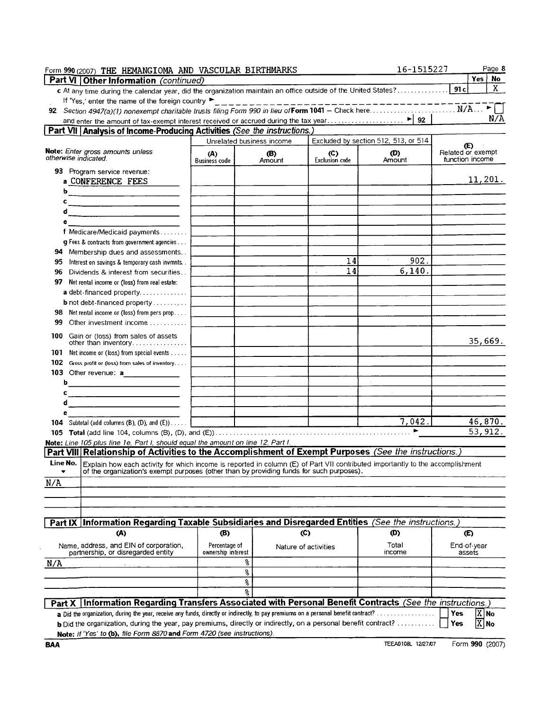| Form 990 (2007) THE HEMANGIOMA AND VASCULAR BIRTHMARKS                                                                                                                                                                              |                             |                           |                              | 16-1515227                           | Page 8                               |
|-------------------------------------------------------------------------------------------------------------------------------------------------------------------------------------------------------------------------------------|-----------------------------|---------------------------|------------------------------|--------------------------------------|--------------------------------------|
| <b>Part VI Other Information</b> (continued)                                                                                                                                                                                        |                             |                           |                              |                                      | Yes   No                             |
| c At any time during the calendar year, did the organization maintain an office outside of the United States?                                                                                                                       |                             |                           |                              |                                      | X<br>  91 c                          |
| If 'Yes,' enter the name of the foreign country                                                                                                                                                                                     |                             |                           |                              |                                      |                                      |
|                                                                                                                                                                                                                                     |                             |                           |                              |                                      |                                      |
|                                                                                                                                                                                                                                     |                             |                           |                              |                                      | N/A                                  |
| Part VII Analysis of Income-Producing Activities (See the instructions.)                                                                                                                                                            |                             |                           |                              |                                      |                                      |
|                                                                                                                                                                                                                                     |                             | Unrelated business income |                              | Excluded by section 512, 513, or 514 | $\mathbf{E}$                         |
| Note: Enter gross amounts unless<br>otherwise indicated.                                                                                                                                                                            | (A)<br><b>Business code</b> | (B)<br>Amount             | (C)<br><b>Exclusion</b> code | (D)<br>Amount                        | Related or exempt<br>function income |
| 93 Program service revenue:<br>a CONFERENCE FEES<br>b                                                                                                                                                                               |                             |                           |                              |                                      | 11,201.                              |
| c<br><u> 1989 - Johann Barbara, martxa eta politikar</u><br>d<br>е<br>f Medicare/Medicaid payments                                                                                                                                  |                             |                           |                              |                                      |                                      |
| $\boldsymbol{q}$ Fees & contracts from government agencies                                                                                                                                                                          |                             |                           |                              |                                      |                                      |
| Membership dues and assessments<br>94                                                                                                                                                                                               |                             |                           |                              |                                      |                                      |
| 95<br>Interest on savings & temporary cash invmnts.                                                                                                                                                                                 |                             |                           | 14                           | $\sim$<br>902.                       |                                      |
| 96<br>Dividends & interest from securities                                                                                                                                                                                          |                             |                           | 14                           | 6, 140.                              |                                      |
| 97<br>Net rental income or (loss) from real estate:                                                                                                                                                                                 |                             |                           |                              |                                      |                                      |
| a debt-financed property                                                                                                                                                                                                            |                             |                           |                              |                                      |                                      |
| <b>b</b> not debt-financed property $\ldots$                                                                                                                                                                                        |                             |                           |                              |                                      |                                      |
| Net rental income or (loss) from pers prop<br>98                                                                                                                                                                                    |                             |                           |                              |                                      |                                      |
| Other investment income<br>99                                                                                                                                                                                                       |                             |                           |                              |                                      |                                      |
| 100<br>Gain or (loss) from sales of assets<br>other than inventory                                                                                                                                                                  |                             |                           |                              |                                      | 35,669.                              |
| 101 Net income or (loss) from special events                                                                                                                                                                                        |                             |                           |                              |                                      |                                      |
| 102 Gross profit or (loss) from sales of inventory                                                                                                                                                                                  |                             |                           |                              |                                      |                                      |
| 103 Other revenue: a______________                                                                                                                                                                                                  |                             |                           |                              |                                      |                                      |
| b                                                                                                                                                                                                                                   |                             |                           |                              |                                      |                                      |
| c                                                                                                                                                                                                                                   |                             |                           |                              |                                      |                                      |
| d                                                                                                                                                                                                                                   |                             |                           |                              |                                      |                                      |
| е                                                                                                                                                                                                                                   |                             |                           |                              |                                      |                                      |
| <b>104</b> Subtotal (add columns $(B)$ , $(D)$ , and $(E)$ )                                                                                                                                                                        |                             |                           |                              | 7,042.                               | 46,870.                              |
|                                                                                                                                                                                                                                     |                             |                           |                              | ٠                                    | $\overline{53, 912}$ .               |
| Note: Line 105 plus line 1e, Part I, should equal the amount on line 12, Part I.                                                                                                                                                    |                             |                           |                              |                                      |                                      |
| Part VIII Relationship of Activities to the Accomplishment of Exempt Purposes (See the instructions.)                                                                                                                               |                             |                           |                              |                                      |                                      |
| Line No. Explain how each activity for which income is reported in column (E) of Part VII contributed importantly to the accomplishment<br>of the organization's exempt purposes (other than by providing funds for such purposes). |                             |                           |                              |                                      |                                      |
| N/A                                                                                                                                                                                                                                 |                             |                           |                              |                                      |                                      |
|                                                                                                                                                                                                                                     |                             |                           |                              |                                      |                                      |
| Part IX Information Regarding Taxable Subsidiaries and Disregarded Entities (See the instructions.)                                                                                                                                 |                             |                           |                              |                                      |                                      |
| (A)                                                                                                                                                                                                                                 | (B)                         |                           | (C)                          | (D)                                  | <b>D</b>                             |
| Name, address, and EIN of corporation,                                                                                                                                                                                              | Percentage of               |                           | Nature of activities         | Total                                | End-of-year                          |
| partnership, or disregarded entity                                                                                                                                                                                                  | ownership interest          |                           |                              | income                               | assets                               |
| N/A                                                                                                                                                                                                                                 |                             | 옹                         |                              |                                      |                                      |
|                                                                                                                                                                                                                                     |                             | š                         |                              |                                      |                                      |
|                                                                                                                                                                                                                                     |                             | ş                         |                              |                                      |                                      |
|                                                                                                                                                                                                                                     |                             | 움                         |                              |                                      |                                      |
| Tinformation Regarding Transfers Associated with Personal Benefit Contracts (See the instructions.)<br>Part X                                                                                                                       |                             |                           |                              |                                      |                                      |
| a Did the organization, during the year, receive any funds, directly or indirectly, to pay premiums on a personal benefit contract?                                                                                                 |                             |                           |                              |                                      | X No<br>Yes                          |
| b Did the organization, during the year, pay premiums, directly or indirectly, on a personal benefit contract?<br>Note: If 'Yes' to (b), file Form 8870 and Form 4720 (see instructions).                                           |                             |                           |                              |                                      | $\overline{X}$ No<br>Yes             |

**BAA iEEA0108L** 12/27/07 Form **990** (2007)